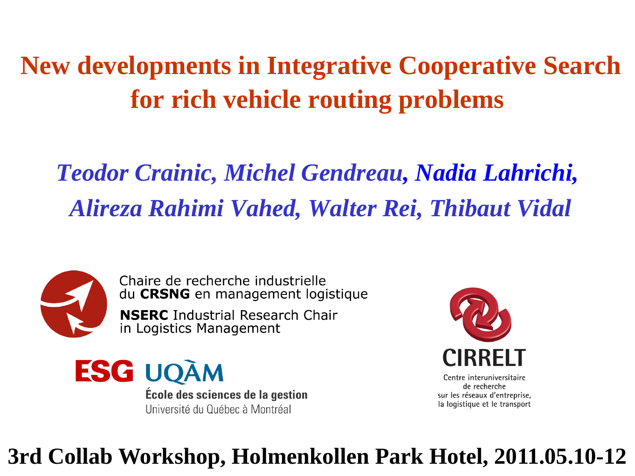#### **New developments in Integrative Cooperative Search for rich vehicle routing problems**

#### *Teodor Crainic, Michel Gendreau, Nadia Lahrichi, Alireza Rahimi Vahed, Walter Rei, Thibaut Vidal*



Chaire de recherche industrielle du CRSNG en management logistique

**NSERC** Industrial Research Chair in Logistics Management

**ESG UOÀM École des sciences de la gestion** Université du Québec à Montréal



Centre interuniversitaire de recherche sur les réseaux d'entreprise, la logistique et le transport

#### **3rd Collab Workshop, Holmenkollen Park Hotel, 2011.05.10-12**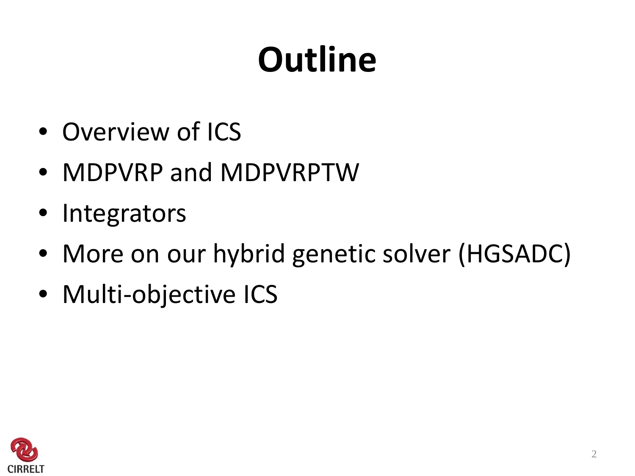# **Outline**

- Overview of ICS
- MDPVRP and MDPVRPTW
- **Integrators**
- More on our hybrid genetic solver (HGSADC)
- Multi-objective ICS

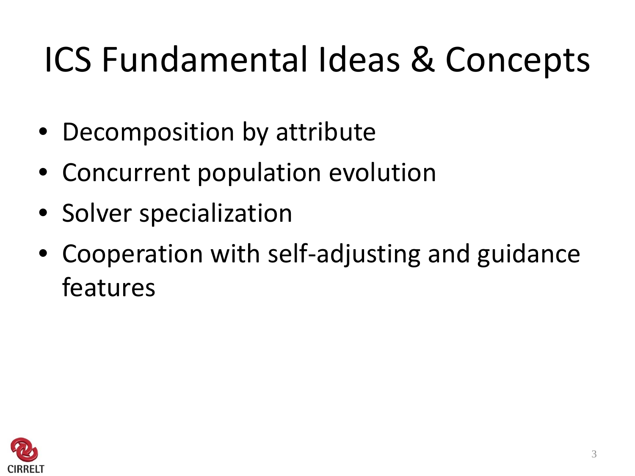#### ICS Fundamental Ideas & Concepts

- Decomposition by attribute
- Concurrent population evolution
- Solver specialization
- Cooperation with self-adjusting and guidance features

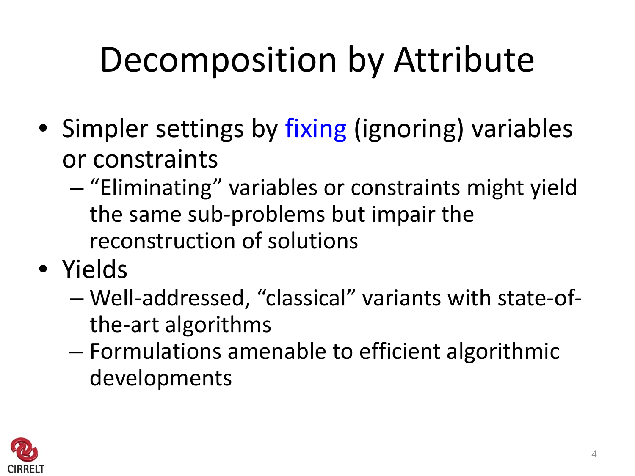# Decomposition by Attribute

- Simpler settings by fixing (ignoring) variables or constraints
	- "Eliminating" variables or constraints might yield the same sub-problems but impair the reconstruction of solutions
- Yields
	- Well-addressed, "classical" variants with state-ofthe-art algorithms
	- Formulations amenable to efficient algorithmic developments

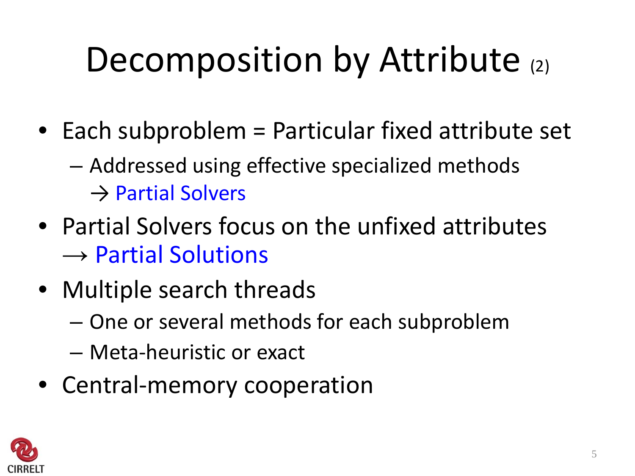#### Decomposition by Attribute (2)

- Each subproblem = Particular fixed attribute set
	- Addressed using effective specialized methods → Partial Solvers
- Partial Solvers focus on the unfixed attributes  $\rightarrow$  Partial Solutions
- Multiple search threads
	- One or several methods for each subproblem
	- Meta-heuristic or exact
- Central-memory cooperation

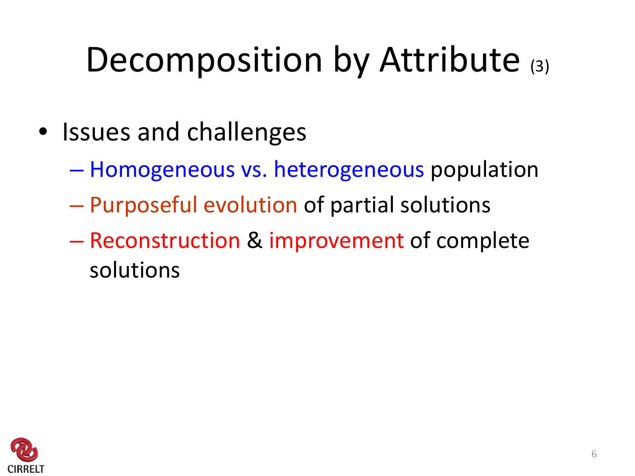#### Decomposition by Attribute (3)

- Issues and challenges
	- Homogeneous vs. heterogeneous population
	- Purposeful evolution of partial solutions
	- Reconstruction & improvement of complete solutions

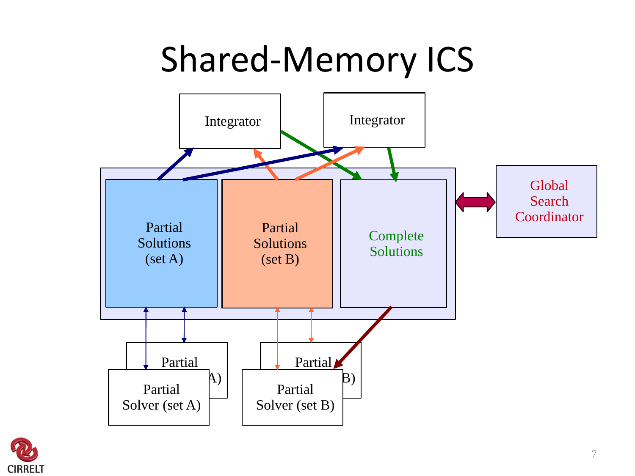#### Shared-Memory ICS



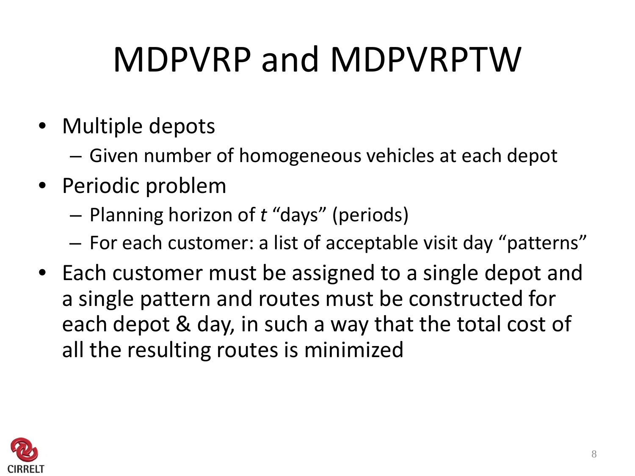## MDPVRP and MDPVRPTW

- Multiple depots
	- Given number of homogeneous vehicles at each depot
- Periodic problem
	- Planning horizon of *t* "days" (periods)
	- For each customer: a list of acceptable visit day "patterns"
- Each customer must be assigned to a single depot and a single pattern and routes must be constructed for each depot & day, in such a way that the total cost of all the resulting routes is minimized

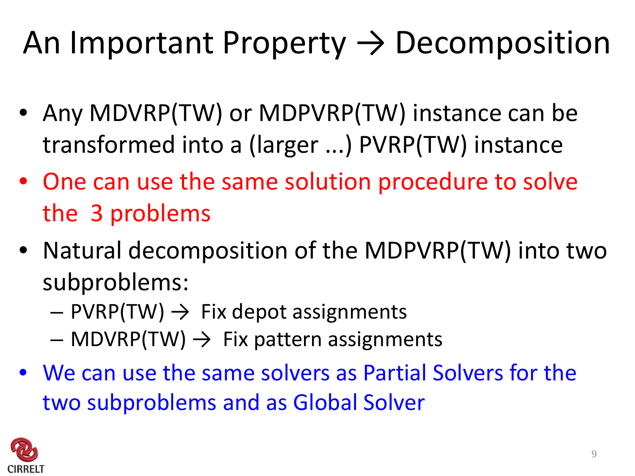#### An Important Property  $\rightarrow$  Decomposition

- Any MDVRP(TW) or MDPVRP(TW) instance can be transformed into a (larger ...) PVRP(TW) instance
- One can use the same solution procedure to solve the 3 problems
- Natural decomposition of the MDPVRP(TW) into two subproblems:
	- $-$  PVRP(TW)  $\rightarrow$  Fix depot assignments
	- $MDVRP(TW)$   $\rightarrow$  Fix pattern assignments
- We can use the same solvers as Partial Solvers for the two subproblems and as Global Solver

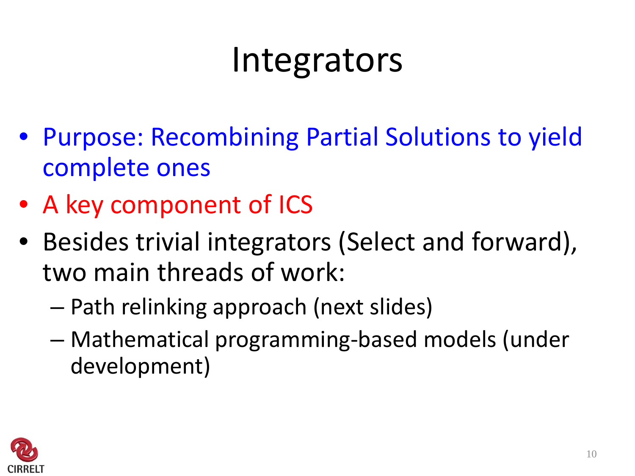#### Integrators

- Purpose: Recombining Partial Solutions to yield complete ones
- A key component of ICS
- Besides trivial integrators (Select and forward), two main threads of work:
	- Path relinking approach (next slides)
	- Mathematical programming-based models (under development)

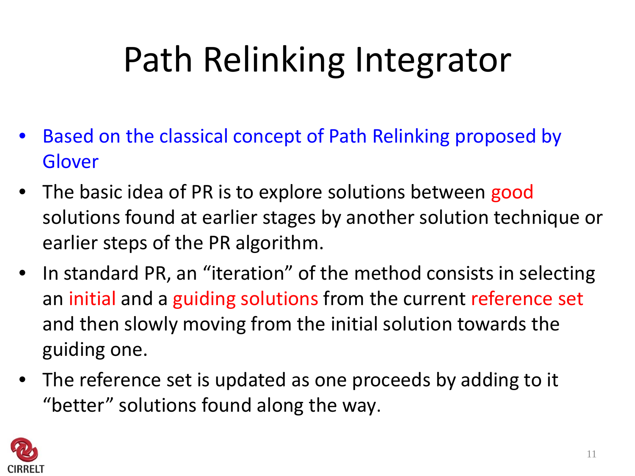# Path Relinking Integrator

- Based on the classical concept of Path Relinking proposed by Glover
- The basic idea of PR is to explore solutions between good solutions found at earlier stages by another solution technique or earlier steps of the PR algorithm.
- In standard PR, an "iteration" of the method consists in selecting an initial and a guiding solutions from the current reference set and then slowly moving from the initial solution towards the guiding one.
- The reference set is updated as one proceeds by adding to it "better" solutions found along the way.

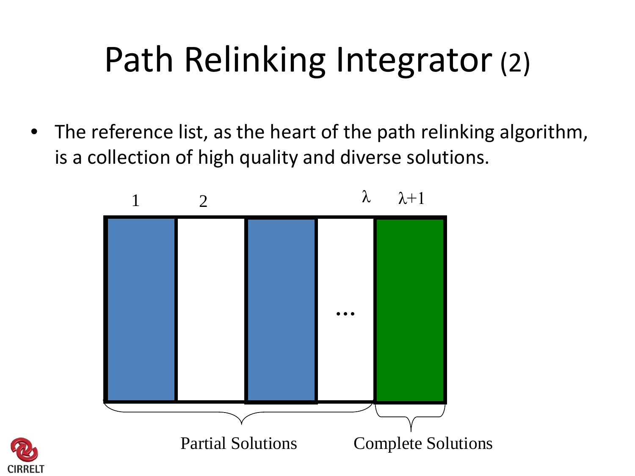## Path Relinking Integrator (2)

• The reference list, as the heart of the path relinking algorithm, is a collection of high quality and diverse solutions.



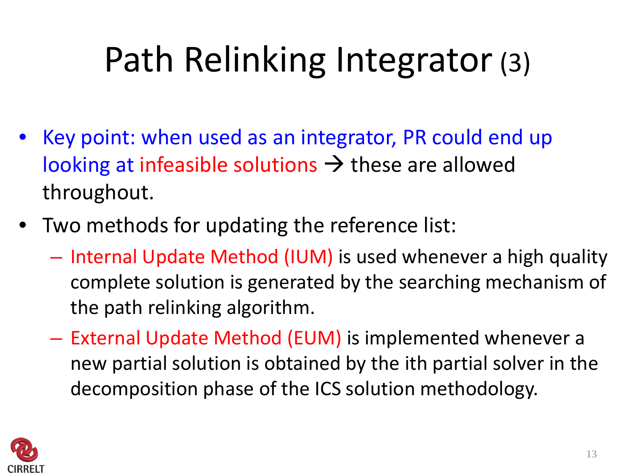## Path Relinking Integrator (3)

- Key point: when used as an integrator, PR could end up looking at infeasible solutions  $\rightarrow$  these are allowed throughout.
- Two methods for updating the reference list:
	- Internal Update Method (IUM) is used whenever a high quality complete solution is generated by the searching mechanism of the path relinking algorithm.
	- External Update Method (EUM) is implemented whenever a new partial solution is obtained by the ith partial solver in the decomposition phase of the ICS solution methodology.

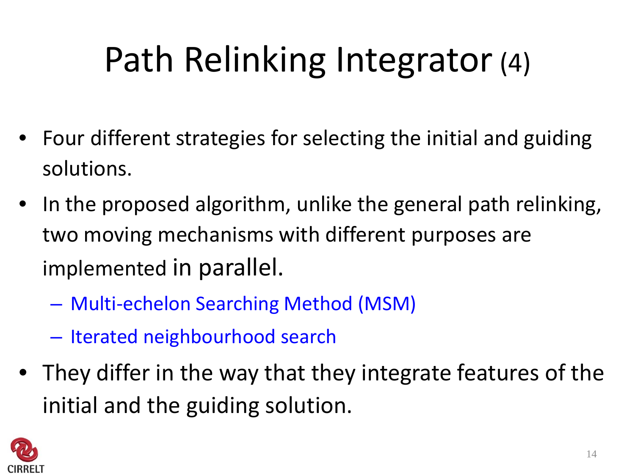# Path Relinking Integrator (4)

- Four different strategies for selecting the initial and guiding solutions.
- In the proposed algorithm, unlike the general path relinking, two moving mechanisms with different purposes are implemented in parallel.
	- Multi-echelon Searching Method (MSM)
	- Iterated neighbourhood search
- They differ in the way that they integrate features of the initial and the guiding solution.

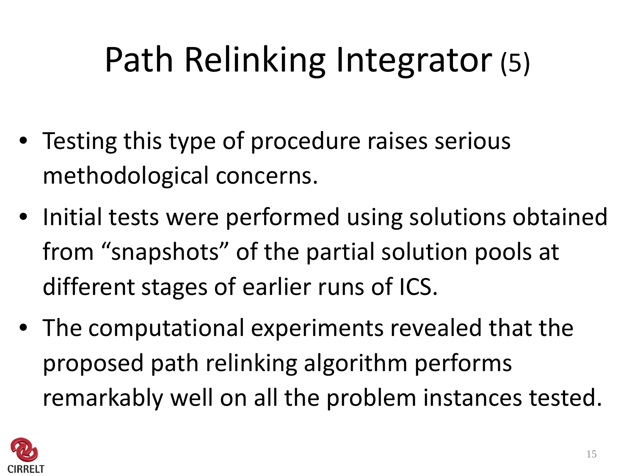# Path Relinking Integrator (5)

- Testing this type of procedure raises serious methodological concerns.
- Initial tests were performed using solutions obtained from "snapshots" of the partial solution pools at different stages of earlier runs of ICS.
- The computational experiments revealed that the proposed path relinking algorithm performs remarkably well on all the problem instances tested.

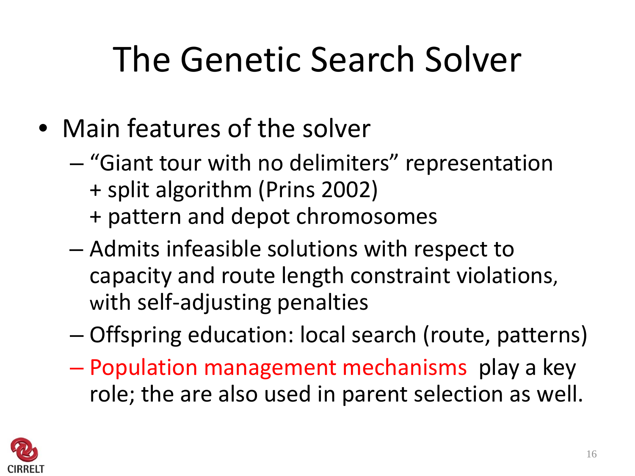#### The Genetic Search Solver

- Main features of the solver
	- "Giant tour with no delimiters" representation + split algorithm (Prins 2002) + pattern and depot chromosomes
	- Admits infeasible solutions with respect to capacity and route length constraint violations, with self-adjusting penalties
	- Offspring education: local search (route, patterns)
	- Population management mechanisms play a key role; the are also used in parent selection as well.

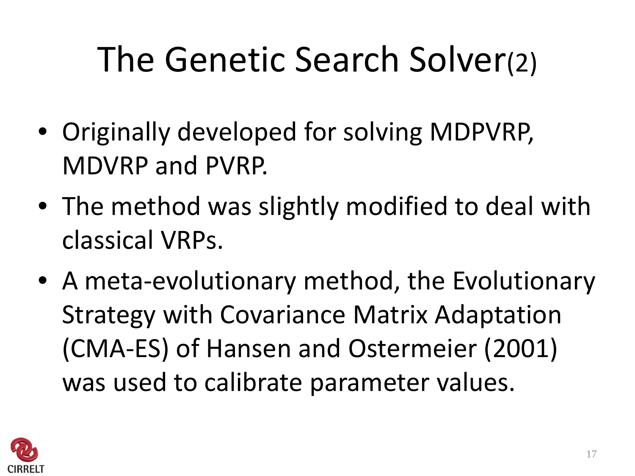## The Genetic Search Solver(2)

- Originally developed for solving MDPVRP, MDVRP and PVRP.
- The method was slightly modified to deal with classical VRPs.
- A meta-evolutionary method, the Evolutionary Strategy with Covariance Matrix Adaptation (CMA-ES) of Hansen and Ostermeier (2001) was used to calibrate parameter values.

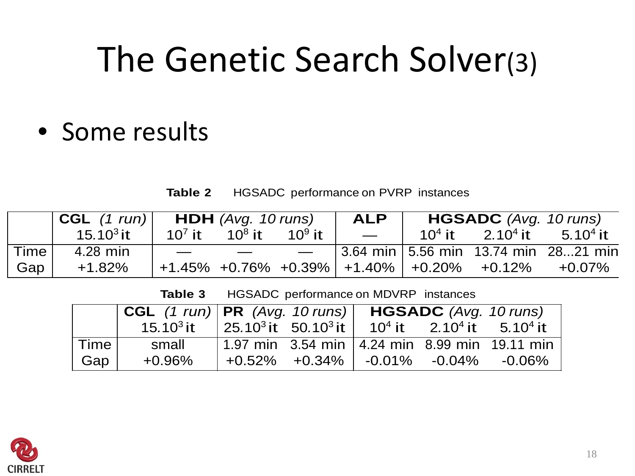#### The Genetic Search Solver(3)

• Some results

**Table 2** HGSADC performance on PVRP instances

|               |               | $CGL$ (1 run) $HDH$ (Avg. 10 runs) |                                                                                                                                                                                                                                      |                              | ALP                  | <b>HGSADC</b> (Avg. 10 runs) |                                                     |                                              |
|---------------|---------------|------------------------------------|--------------------------------------------------------------------------------------------------------------------------------------------------------------------------------------------------------------------------------------|------------------------------|----------------------|------------------------------|-----------------------------------------------------|----------------------------------------------|
|               | 15.10 $^3$ it | $10^7$ it                          | $10^8$ it                                                                                                                                                                                                                            | 10 $^{\circ}$ it $\parallel$ | <b>Communication</b> |                              | $10^4$ it 2.10 <sup>4</sup> it 5.10 <sup>4</sup> it |                                              |
| <b>Time</b> I | 4.28 min      | $\sim$                             | <u>and the company of the company of the company of the company of the company of the company of the company of the company of the company of the company of the company of the company of the company of the company of the com</u> |                              |                      |                              |                                                     | $-$   3.64 min   5.56 min 13.74 min 2821 min |
| Gap           | +1.82%        |                                    |                                                                                                                                                                                                                                      |                              |                      |                              | +1.45% +0.76% +0.39%  +1.40%  +0.20% +0.12%         | +0.07%                                       |

**Table 3** HGSADC performance on MDVRP instances

|        | <b>CGL</b> $(1 \text{ run})$ <b>PR</b> $(Avg. 10 \text{ runs})$   |                                         | <b>HGSADC</b> (Avg. 10 runs) |                                                              |                                                   |  |
|--------|-------------------------------------------------------------------|-----------------------------------------|------------------------------|--------------------------------------------------------------|---------------------------------------------------|--|
|        | 15.10 <sup>3</sup> it 25.10 <sup>3</sup> it 50.10 <sup>3</sup> it |                                         |                              | 10 <sup>4</sup> it 2.10 <sup>4</sup> it 5.10 <sup>4</sup> it |                                                   |  |
| Time I | small                                                             |                                         |                              |                                                              | 1.97 min $3.54$ min   4.24 min 8.99 min 19.11 min |  |
| Gap    | $+0.96\%$                                                         | $+0.52\%$ $+0.34\%$ $-0.01\%$ $-0.04\%$ |                              |                                                              | -0.06%                                            |  |

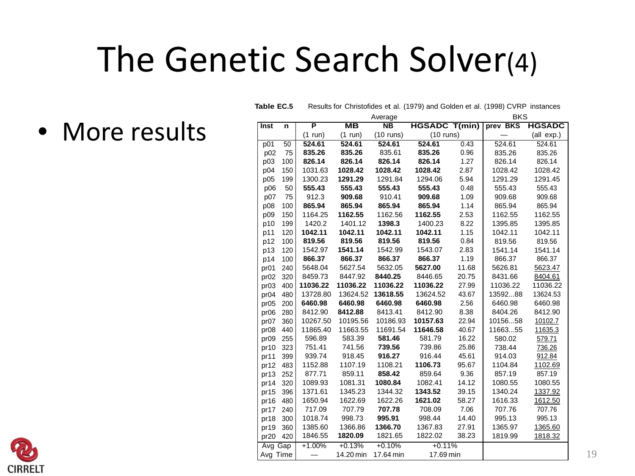#### The Genetic Search Solver(4)

• More results

|                  |     |           |                          | Average                 |                      |       | <b>BKS</b> |               |
|------------------|-----|-----------|--------------------------|-------------------------|----------------------|-------|------------|---------------|
| Inst             | n   | P         | $\overline{\mathsf{MB}}$ | $\overline{\mathsf{N}}$ | <b>HGSADC T(min)</b> |       | prev BKS   | <b>HGSADC</b> |
|                  |     | $(1$ run) | $(1$ run)                | $(10$ runs)             | $(10$ runs)          |       |            | (all exp.)    |
| p01              | 50  | 524.61    | 524.61                   | 524.61                  | 524.61               | 0.43  | 524.61     | 524.61        |
| p02              | 75  | 835.26    | 835.26                   | 835.61                  | 835.26               | 0.96  | 835.26     | 835.26        |
| p03              | 100 | 826.14    | 826.14                   | 826.14                  | 826.14               | 1.27  | 826.14     | 826.14        |
| p04              | 150 | 1031.63   | 1028.42                  | 1028.42                 | 1028.42              | 2.87  | 1028.42    | 1028.42       |
| p05              | 199 | 1300.23   | 1291.29                  | 1291.84                 | 1294.06              | 5.94  | 1291.29    | 1291.45       |
| p06              | 50  | 555.43    | 555.43                   | 555.43                  | 555.43               | 0.48  | 555.43     | 555.43        |
| p07              | 75  | 912.3     | 909.68                   | 910.41                  | 909.68               | 1.09  | 909.68     | 909.68        |
| p08              | 100 | 865.94    | 865.94                   | 865.94                  | 865.94               | 1.14  | 865.94     | 865.94        |
| p09              | 150 | 1164.25   | 1162.55                  | 1162.56                 | 1162.55              | 2.53  | 1162.55    | 1162.55       |
| p10              | 199 | 1420.2    | 1401.12                  | 1398.3                  | 1400.23              | 8.22  | 1395.85    | 1395.85       |
| p11              | 120 | 1042.11   | 1042.11                  | 1042.11                 | 1042.11              | 1.15  | 1042.11    | 1042.11       |
| p12              | 100 | 819.56    | 819.56                   | 819.56                  | 819.56               | 0.84  | 819.56     | 819.56        |
| p13              | 120 | 1542.97   | 1541.14                  | 1542.99                 | 1543.07              | 2.83  | 1541.14    | 1541.14       |
| p14              | 100 | 866.37    | 866.37                   | 866.37                  | 866.37               | 1.19  | 866.37     | 866.37        |
| pr <sub>01</sub> | 240 | 5648.04   | 5627.54                  | 5632.05                 | 5627.00              | 11.68 | 5626.81    | 5623.47       |
| pr <sub>02</sub> | 320 | 8459.73   | 8447.92                  | 8440.25                 | 8446.65              | 20.75 | 8431.66    | 8404.61       |
| pr <sub>03</sub> | 400 | 11036.22  | 11036.22                 | 11036.22                | 11036.22             | 27.99 | 11036.22   | 11036.22      |
| pr04             | 480 | 13728.80  | 13624.52                 | 13618.55                | 13624.52             | 43.67 | 1359288    | 13624.53      |
| pr05             | 200 | 6460.98   | 6460.98                  | 6460.98                 | 6460.98              | 2.56  | 6460.98    | 6460.98       |
| pr <sub>06</sub> | 280 | 8412.90   | 8412.88                  | 8413.41                 | 8412.90              | 8.38  | 8404.26    | 8412.90       |
| pr <sub>07</sub> | 360 | 10267.50  | 10195.56                 | 10186.93                | 10157.63             | 22.94 | 1015658    | 10102.7       |
| pr <sub>08</sub> | 440 | 11865.40  | 11663.55                 | 11691.54                | 11646.58             | 40.67 | 1166355    | 11635.3       |
| pr <sub>09</sub> | 255 | 596.89    | 583.39                   | 581.46                  | 581.79               | 16.22 | 580.02     | 579.71        |
| pr10             | 323 | 751.41    | 741.56                   | 739.56                  | 739.86               | 25.86 | 738.44     | 736.26        |
| pr11             | 399 | 939.74    | 918.45                   | 916.27                  | 916.44               | 45.61 | 914.03     | 912.84        |
| pr12             | 483 | 1152.88   | 1107.19                  | 1108.21                 | 1106.73              | 95.67 | 1104.84    | 1102.69       |
| pr13             | 252 | 877.71    | 859.11                   | 858.42                  | 859.64               | 9.36  | 857.19     | 857.19        |
| pr14             | 320 | 1089.93   | 1081.31                  | 1080.84                 | 1082.41              | 14.12 | 1080.55    | 1080.55       |
| pr15             | 396 | 1371.61   | 1345.23                  | 1344.32                 | 1343.52              | 39.15 | 1340.24    | 1337.92       |
| pr16             | 480 | 1650.94   | 1622.69                  | 1622.26                 | 1621.02              | 58.27 | 1616.33    | 1612.50       |
| pr17             | 240 | 717.09    | 707.79                   | 707.78                  | 708.09               | 7.06  | 707.76     | 707.76        |
| pr18             | 300 | 1018.74   | 998.73                   | 995.91                  | 998.44               | 14.40 | 995.13     | 995.13        |
| pr19             | 360 | 1385.60   | 1366.86                  | 1366.70                 | 1367.83              | 27.91 | 1365.97    | 1365.60       |
| pr20             | 420 | 1846.55   | 1820.09                  | 1821.65                 | 1822.02              | 38.23 | 1819.99    | 1818.32       |
| Avg Gap          |     | $+1.00%$  | $+0.13%$                 | $+0.10%$                | $+0.11%$             |       |            |               |
| Avg Time         |     |           | 14.20 min                | 17.64 min               | 17.69 min            |       |            |               |

**Table EC.5** Results for Christofides et al. (1979) and Golden et al. (1998) CVRP instances

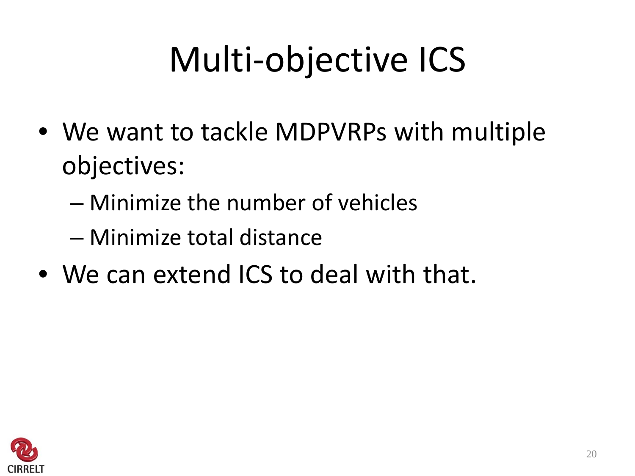# Multi-objective ICS

- We want to tackle MDPVRPs with multiple objectives:
	- Minimize the number of vehicles
	- Minimize total distance
- We can extend ICS to deal with that.

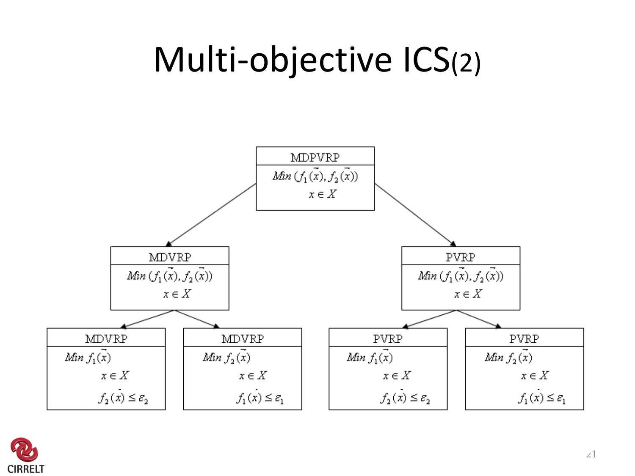#### Multi-objective ICS(2)